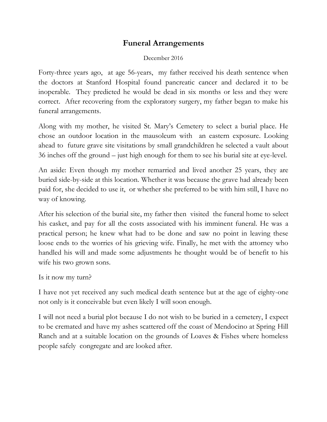## **Funeral Arrangements**

## December 2016

Forty-three years ago, at age 56-years, my father received his death sentence when the doctors at Stanford Hospital found pancreatic cancer and declared it to be inoperable. They predicted he would be dead in six months or less and they were correct. After recovering from the exploratory surgery, my father began to make his funeral arrangements.

Along with my mother, he visited St. Mary's Cemetery to select a burial place. He chose an outdoor location in the mausoleum with an eastern exposure. Looking ahead to future grave site visitations by small grandchildren he selected a vault about 36 inches off the ground – just high enough for them to see his burial site at eye-level.

An aside: Even though my mother remarried and lived another 25 years, they are buried side-by-side at this location. Whether it was because the grave had already been paid for, she decided to use it, or whether she preferred to be with him still, I have no way of knowing.

After his selection of the burial site, my father then visited the funeral home to select his casket, and pay for all the costs associated with his imminent funeral. He was a practical person; he knew what had to be done and saw no point in leaving these loose ends to the worries of his grieving wife. Finally, he met with the attorney who handled his will and made some adjustments he thought would be of benefit to his wife his two grown sons.

Is it now my turn?

I have not yet received any such medical death sentence but at the age of eighty-one not only is it conceivable but even likely I will soon enough.

I will not need a burial plot because I do not wish to be buried in a cemetery, I expect to be cremated and have my ashes scattered off the coast of Mendocino at Spring Hill Ranch and at a suitable location on the grounds of Loaves & Fishes where homeless people safely congregate and are looked after.